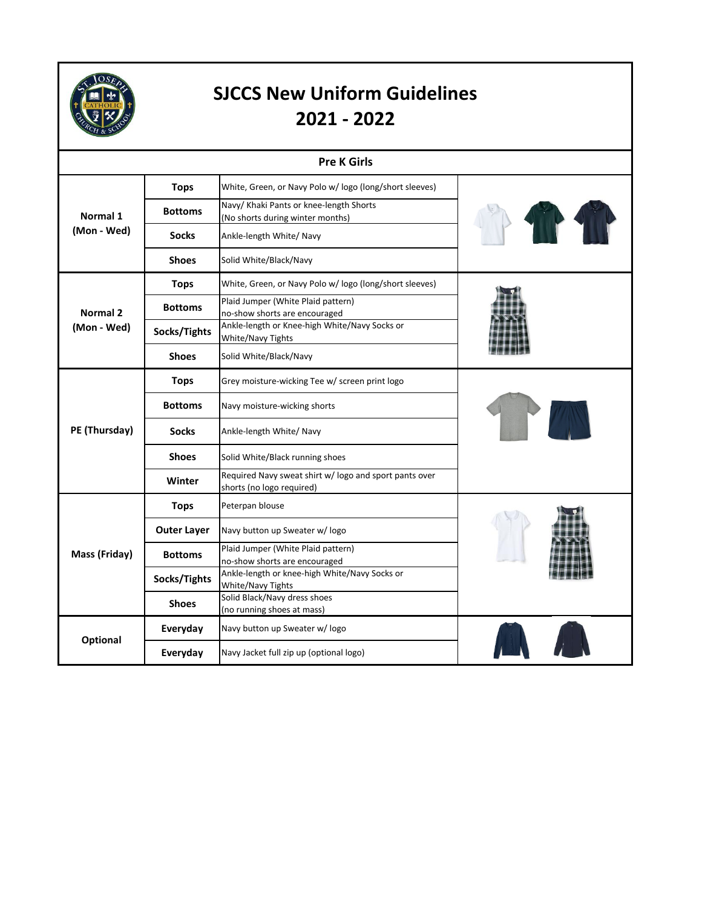

| <b>Pre K Girls</b>      |                    |                                                                                     |  |  |
|-------------------------|--------------------|-------------------------------------------------------------------------------------|--|--|
| Normal 1<br>(Mon - Wed) | <b>Tops</b>        | White, Green, or Navy Polo w/ logo (long/short sleeves)                             |  |  |
|                         | <b>Bottoms</b>     | Navy/ Khaki Pants or knee-length Shorts<br>(No shorts during winter months)         |  |  |
|                         | <b>Socks</b>       | Ankle-length White/ Navy                                                            |  |  |
|                         | <b>Shoes</b>       | Solid White/Black/Navy                                                              |  |  |
| Normal 2<br>(Mon - Wed) | <b>Tops</b>        | White, Green, or Navy Polo w/ logo (long/short sleeves)                             |  |  |
|                         | <b>Bottoms</b>     | Plaid Jumper (White Plaid pattern)<br>no-show shorts are encouraged                 |  |  |
|                         | Socks/Tights       | Ankle-length or Knee-high White/Navy Socks or<br><b>White/Navy Tights</b>           |  |  |
|                         | <b>Shoes</b>       | Solid White/Black/Navy                                                              |  |  |
|                         | <b>Tops</b>        | Grey moisture-wicking Tee w/ screen print logo                                      |  |  |
|                         | <b>Bottoms</b>     | Navy moisture-wicking shorts                                                        |  |  |
| PE (Thursday)           | <b>Socks</b>       | Ankle-length White/ Navy                                                            |  |  |
|                         | <b>Shoes</b>       | Solid White/Black running shoes                                                     |  |  |
|                         | Winter             | Required Navy sweat shirt w/ logo and sport pants over<br>shorts (no logo required) |  |  |
|                         | <b>Tops</b>        | Peterpan blouse                                                                     |  |  |
|                         | <b>Outer Layer</b> | Navy button up Sweater w/ logo                                                      |  |  |
| Mass (Friday)           | <b>Bottoms</b>     | Plaid Jumper (White Plaid pattern)<br>no-show shorts are encouraged                 |  |  |
|                         | Socks/Tights       | Ankle-length or knee-high White/Navy Socks or<br>White/Navy Tights                  |  |  |
|                         | <b>Shoes</b>       | Solid Black/Navy dress shoes<br>(no running shoes at mass)                          |  |  |
| Optional                | Everyday           | Navy button up Sweater w/ logo                                                      |  |  |
|                         | Everyday           | Navy Jacket full zip up (optional logo)                                             |  |  |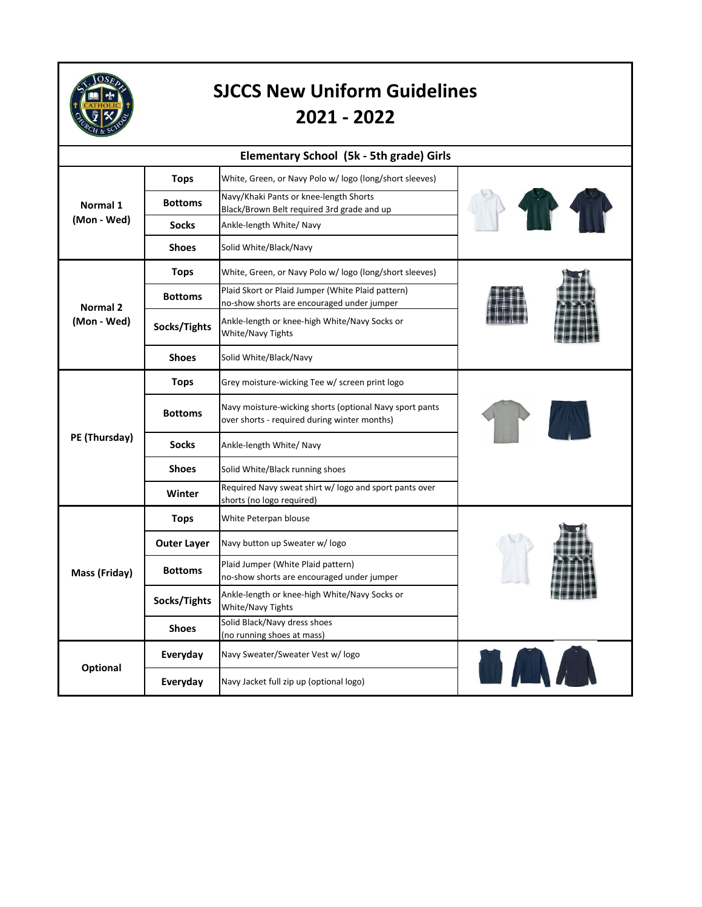

|                         | Elementary School (5k - 5th grade) Girls |                                                                                                         |  |  |  |
|-------------------------|------------------------------------------|---------------------------------------------------------------------------------------------------------|--|--|--|
| Normal 1<br>(Mon - Wed) | <b>Tops</b>                              | White, Green, or Navy Polo w/ logo (long/short sleeves)                                                 |  |  |  |
|                         | <b>Bottoms</b>                           | Navy/Khaki Pants or knee-length Shorts<br>Black/Brown Belt required 3rd grade and up                    |  |  |  |
|                         | <b>Socks</b>                             | Ankle-length White/ Navy                                                                                |  |  |  |
|                         | <b>Shoes</b>                             | Solid White/Black/Navy                                                                                  |  |  |  |
| Normal 2<br>(Mon - Wed) | <b>Tops</b>                              | White, Green, or Navy Polo w/ logo (long/short sleeves)                                                 |  |  |  |
|                         | <b>Bottoms</b>                           | Plaid Skort or Plaid Jumper (White Plaid pattern)<br>no-show shorts are encouraged under jumper         |  |  |  |
|                         | Socks/Tights                             | Ankle-length or knee-high White/Navy Socks or<br>White/Navy Tights                                      |  |  |  |
|                         | <b>Shoes</b>                             | Solid White/Black/Navy                                                                                  |  |  |  |
| PE (Thursday)           | <b>Tops</b>                              | Grey moisture-wicking Tee w/ screen print logo                                                          |  |  |  |
|                         | <b>Bottoms</b>                           | Navy moisture-wicking shorts (optional Navy sport pants<br>over shorts - required during winter months) |  |  |  |
|                         | <b>Socks</b>                             | Ankle-length White/ Navy                                                                                |  |  |  |
|                         | <b>Shoes</b>                             | Solid White/Black running shoes                                                                         |  |  |  |
|                         | Winter                                   | Required Navy sweat shirt w/logo and sport pants over<br>shorts (no logo required)                      |  |  |  |
| Mass (Friday)           | <b>Tops</b>                              | White Peterpan blouse                                                                                   |  |  |  |
|                         | <b>Outer Layer</b>                       | Navy button up Sweater w/logo                                                                           |  |  |  |
|                         | <b>Bottoms</b>                           | Plaid Jumper (White Plaid pattern)<br>no-show shorts are encouraged under jumper                        |  |  |  |
|                         | Socks/Tights                             | Ankle-length or knee-high White/Navy Socks or<br><b>White/Navy Tights</b>                               |  |  |  |
|                         | <b>Shoes</b>                             | Solid Black/Navy dress shoes<br>(no running shoes at mass)                                              |  |  |  |
| Optional                | Everyday                                 | Navy Sweater/Sweater Vest w/ logo                                                                       |  |  |  |
|                         | Everyday                                 | Navy Jacket full zip up (optional logo)                                                                 |  |  |  |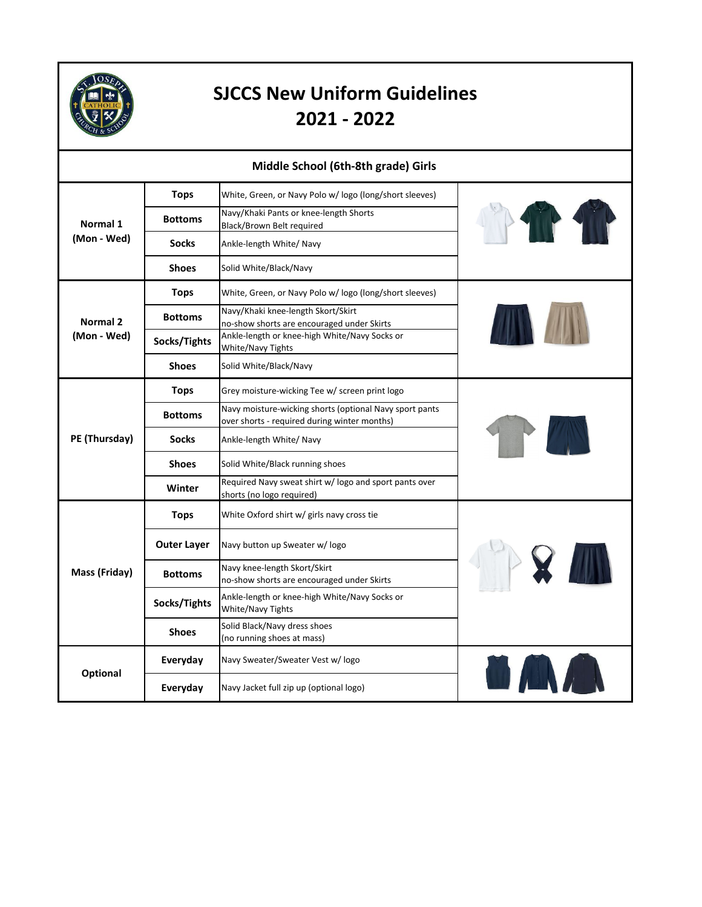

| Middle School (6th-8th grade) Girls |                    |                                                                                                         |              |
|-------------------------------------|--------------------|---------------------------------------------------------------------------------------------------------|--------------|
|                                     | <b>Tops</b>        | White, Green, or Navy Polo w/ logo (long/short sleeves)                                                 |              |
| Normal 1<br>(Mon - Wed)             | <b>Bottoms</b>     | Navy/Khaki Pants or knee-length Shorts<br>Black/Brown Belt required                                     |              |
|                                     | <b>Socks</b>       | Ankle-length White/ Navy                                                                                |              |
|                                     | <b>Shoes</b>       | Solid White/Black/Navy                                                                                  |              |
|                                     | <b>Tops</b>        | White, Green, or Navy Polo w/logo (long/short sleeves)                                                  |              |
| Normal 2                            | <b>Bottoms</b>     | Navy/Khaki knee-length Skort/Skirt<br>no-show shorts are encouraged under Skirts                        |              |
| (Mon - Wed)                         | Socks/Tights       | Ankle-length or knee-high White/Navy Socks or<br>White/Navy Tights                                      |              |
|                                     | <b>Shoes</b>       | Solid White/Black/Navy                                                                                  |              |
| PE (Thursday)                       | <b>Tops</b>        | Grey moisture-wicking Tee w/ screen print logo                                                          |              |
|                                     | <b>Bottoms</b>     | Navy moisture-wicking shorts (optional Navy sport pants<br>over shorts - required during winter months) |              |
|                                     | <b>Socks</b>       | Ankle-length White/ Navy                                                                                |              |
|                                     | <b>Shoes</b>       | Solid White/Black running shoes                                                                         |              |
|                                     | Winter             | Required Navy sweat shirt w/ logo and sport pants over<br>shorts (no logo required)                     |              |
|                                     | <b>Tops</b>        | White Oxford shirt w/ girls navy cross tie                                                              |              |
| Mass (Friday)                       | <b>Outer Layer</b> | Navy button up Sweater w/logo                                                                           |              |
|                                     | <b>Bottoms</b>     | Navy knee-length Skort/Skirt<br>no-show shorts are encouraged under Skirts                              | <b>PRAIL</b> |
|                                     | Socks/Tights       | Ankle-length or knee-high White/Navy Socks or<br><b>White/Navy Tights</b>                               |              |
|                                     | <b>Shoes</b>       | Solid Black/Navy dress shoes<br>(no running shoes at mass)                                              |              |
| Optional                            | Everyday           | Navy Sweater/Sweater Vest w/ logo                                                                       |              |
|                                     | Everyday           | Navy Jacket full zip up (optional logo)                                                                 |              |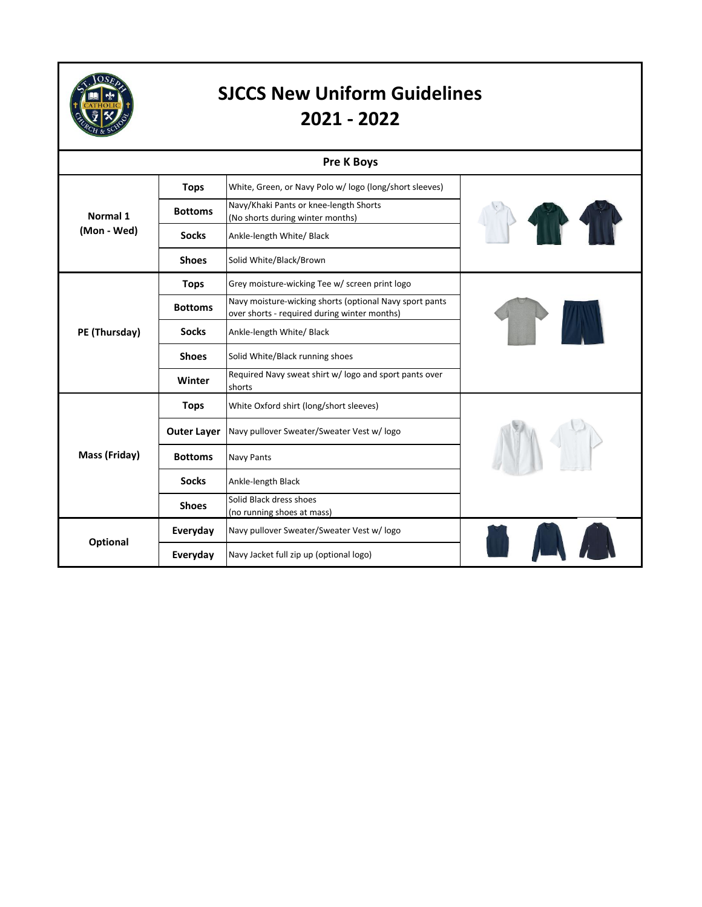

|               |                    | <b>Pre K Boys</b>                                                                                       |  |
|---------------|--------------------|---------------------------------------------------------------------------------------------------------|--|
| Normal 1      | <b>Tops</b>        | White, Green, or Navy Polo w/logo (long/short sleeves)                                                  |  |
|               | <b>Bottoms</b>     | Navy/Khaki Pants or knee-length Shorts<br>(No shorts during winter months)                              |  |
| (Mon - Wed)   | <b>Socks</b>       | Ankle-length White/ Black                                                                               |  |
|               | <b>Shoes</b>       | Solid White/Black/Brown                                                                                 |  |
|               | <b>Tops</b>        | Grey moisture-wicking Tee w/ screen print logo                                                          |  |
| PE (Thursday) | <b>Bottoms</b>     | Navy moisture-wicking shorts (optional Navy sport pants<br>over shorts - required during winter months) |  |
|               | <b>Socks</b>       | Ankle-length White/ Black                                                                               |  |
|               | <b>Shoes</b>       | Solid White/Black running shoes                                                                         |  |
|               | Winter             | Required Navy sweat shirt w/ logo and sport pants over<br>shorts                                        |  |
|               | <b>Tops</b>        | White Oxford shirt (long/short sleeves)                                                                 |  |
|               | <b>Outer Layer</b> | Navy pullover Sweater/Sweater Vest w/ logo                                                              |  |
| Mass (Friday) | <b>Bottoms</b>     | <b>Navy Pants</b>                                                                                       |  |
|               | <b>Socks</b>       | Ankle-length Black                                                                                      |  |
|               | <b>Shoes</b>       | Solid Black dress shoes<br>(no running shoes at mass)                                                   |  |
| Optional      | Everyday           | Navy pullover Sweater/Sweater Vest w/ logo                                                              |  |
|               | Everyday           | Navy Jacket full zip up (optional logo)                                                                 |  |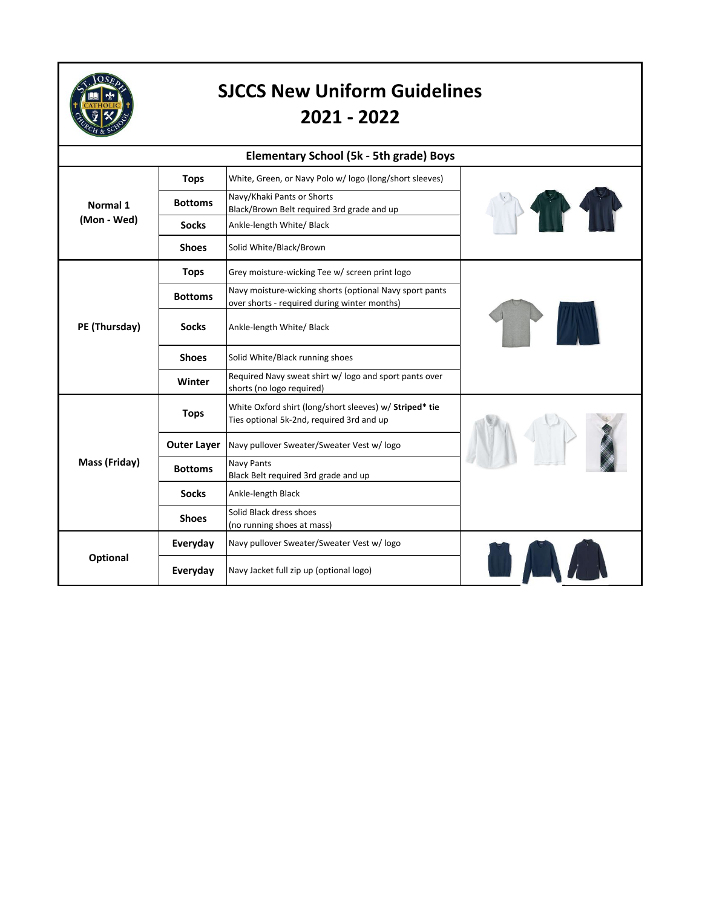

| <b>Elementary School (5k - 5th grade) Boys</b> |                    |                                                                                                         |  |  |
|------------------------------------------------|--------------------|---------------------------------------------------------------------------------------------------------|--|--|
|                                                | <b>Tops</b>        | White, Green, or Navy Polo w/ logo (long/short sleeves)                                                 |  |  |
| Normal 1<br>(Mon - Wed)                        | <b>Bottoms</b>     | Navy/Khaki Pants or Shorts<br>Black/Brown Belt required 3rd grade and up                                |  |  |
|                                                | <b>Socks</b>       | Ankle-length White/ Black                                                                               |  |  |
|                                                | <b>Shoes</b>       | Solid White/Black/Brown                                                                                 |  |  |
|                                                | <b>Tops</b>        | Grey moisture-wicking Tee w/ screen print logo                                                          |  |  |
| PE (Thursday)                                  | <b>Bottoms</b>     | Navy moisture-wicking shorts (optional Navy sport pants<br>over shorts - required during winter months) |  |  |
|                                                | <b>Socks</b>       | Ankle-length White/ Black                                                                               |  |  |
|                                                | <b>Shoes</b>       | Solid White/Black running shoes                                                                         |  |  |
|                                                | Winter             | Required Navy sweat shirt w/ logo and sport pants over<br>shorts (no logo required)                     |  |  |
|                                                | <b>Tops</b>        | White Oxford shirt (long/short sleeves) w/ Striped* tie<br>Ties optional 5k-2nd, required 3rd and up    |  |  |
|                                                | <b>Outer Layer</b> | Navy pullover Sweater/Sweater Vest w/logo                                                               |  |  |
| Mass (Friday)                                  | <b>Bottoms</b>     | Navy Pants<br>Black Belt required 3rd grade and up                                                      |  |  |
|                                                | <b>Socks</b>       | Ankle-length Black                                                                                      |  |  |
|                                                | <b>Shoes</b>       | Solid Black dress shoes<br>(no running shoes at mass)                                                   |  |  |
|                                                | Everyday           | Navy pullover Sweater/Sweater Vest w/ logo                                                              |  |  |
| Optional                                       | Everyday           | Navy Jacket full zip up (optional logo)                                                                 |  |  |